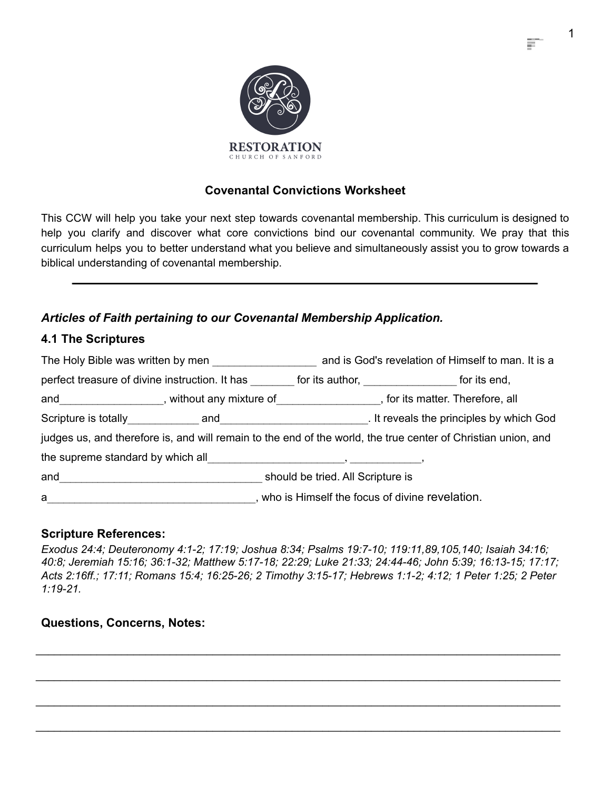

# **Covenantal Convictions Worksheet**

This CCW will help you take your next step towards covenantal membership. This curriculum is designed to help you clarify and discover what core convictions bind our covenantal community. We pray that this curriculum helps you to better understand what you believe and simultaneously assist you to grow towards a biblical understanding of covenantal membership.

# *Articles of Faith pertaining to our Covenantal Membership Application.*

# **4.1 The Scriptures**

|                                   | The Holy Bible was written by men                                                                              |                                                  | and is God's revelation of Himself to man. It is a                                                            |
|-----------------------------------|----------------------------------------------------------------------------------------------------------------|--------------------------------------------------|---------------------------------------------------------------------------------------------------------------|
|                                   | perfect treasure of divine instruction. It has                                                                 | for its author, <u>second</u>                    | for its end,                                                                                                  |
|                                   | and same and the set of the set of the set of the set of the set of the set of the set of the set of the set o |                                                  | , for its matter. Therefore, all                                                                              |
|                                   |                                                                                                                |                                                  | . It reveals the principles by which God                                                                      |
|                                   |                                                                                                                |                                                  | judges us, and therefore is, and will remain to the end of the world, the true center of Christian union, and |
| the supreme standard by which all |                                                                                                                |                                                  |                                                                                                               |
| and                               |                                                                                                                | should be tried. All Scripture is                |                                                                                                               |
| a                                 |                                                                                                                | , who is Himself the focus of divine revelation. |                                                                                                               |

## **Scripture References:**

*Exodus 24:4; Deuteronomy 4:1-2; 17:19; Joshua 8:34; Psalms 19:7-10; 119:11,89,105,140; Isaiah 34:16; 40:8; Jeremiah 15:16; 36:1-32; Matthew 5:17-18; 22:29; Luke 21:33; 24:44-46; John 5:39; 16:13-15; 17:17; Acts 2:16ff.; 17:11; Romans 15:4; 16:25-26; 2 Timothy 3:15-17; Hebrews 1:1-2; 4:12; 1 Peter 1:25; 2 Peter 1:19-21.*

\_\_\_\_\_\_\_\_\_\_\_\_\_\_\_\_\_\_\_\_\_\_\_\_\_\_\_\_\_\_\_\_\_\_\_\_\_\_\_\_\_\_\_\_\_\_\_\_\_\_\_\_\_\_\_\_\_\_\_\_\_\_\_\_\_\_\_\_\_\_\_\_\_\_\_\_\_\_\_\_\_\_\_\_\_\_

\_\_\_\_\_\_\_\_\_\_\_\_\_\_\_\_\_\_\_\_\_\_\_\_\_\_\_\_\_\_\_\_\_\_\_\_\_\_\_\_\_\_\_\_\_\_\_\_\_\_\_\_\_\_\_\_\_\_\_\_\_\_\_\_\_\_\_\_\_\_\_\_\_\_\_\_\_\_\_\_\_\_\_\_\_\_

\_\_\_\_\_\_\_\_\_\_\_\_\_\_\_\_\_\_\_\_\_\_\_\_\_\_\_\_\_\_\_\_\_\_\_\_\_\_\_\_\_\_\_\_\_\_\_\_\_\_\_\_\_\_\_\_\_\_\_\_\_\_\_\_\_\_\_\_\_\_\_\_\_\_\_\_\_\_\_\_\_\_\_\_\_\_

 $\_$  ,  $\_$  ,  $\_$  ,  $\_$  ,  $\_$  ,  $\_$  ,  $\_$  ,  $\_$  ,  $\_$  ,  $\_$  ,  $\_$  ,  $\_$  ,  $\_$  ,  $\_$  ,  $\_$  ,  $\_$  ,  $\_$  ,  $\_$  ,  $\_$  ,  $\_$  ,  $\_$  ,  $\_$  ,  $\_$  ,  $\_$  ,  $\_$  ,  $\_$  ,  $\_$  ,  $\_$  ,  $\_$  ,  $\_$  ,  $\_$  ,  $\_$  ,  $\_$  ,  $\_$  ,  $\_$  ,  $\_$  ,  $\_$  ,

# **Questions, Concerns, Notes:**

1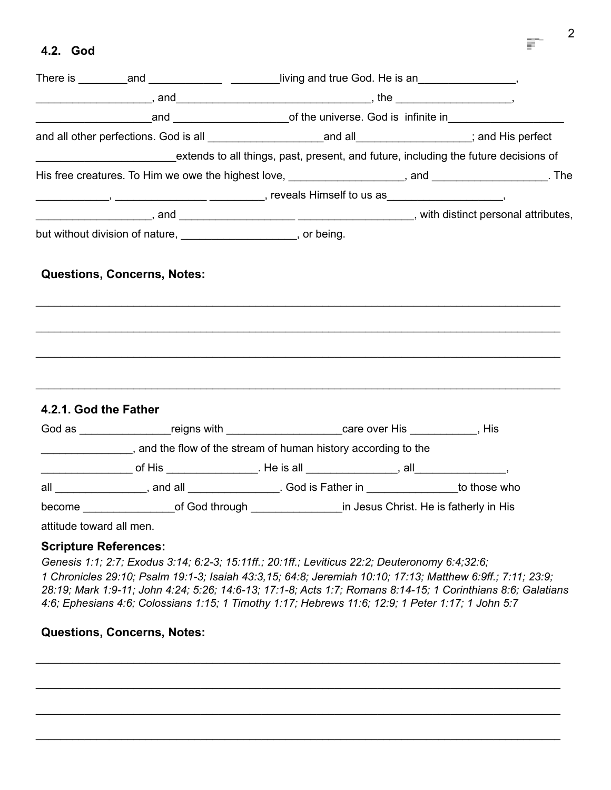## **4.2. God**

|                              |                                                                   | There is __________and _______________________living and true God. He is an___________________,                                                                                                                                |  |
|------------------------------|-------------------------------------------------------------------|--------------------------------------------------------------------------------------------------------------------------------------------------------------------------------------------------------------------------------|--|
|                              |                                                                   | $\frac{1}{1}$ , and $\frac{1}{1}$ , and $\frac{1}{1}$ , the $\frac{1}{1}$ , the $\frac{1}{1}$                                                                                                                                  |  |
|                              |                                                                   |                                                                                                                                                                                                                                |  |
|                              |                                                                   |                                                                                                                                                                                                                                |  |
|                              |                                                                   | extends to all things, past, present, and future, including the future decisions of                                                                                                                                            |  |
|                              |                                                                   | His free creatures. To Him we owe the highest love, ____________________, and ____________________. The                                                                                                                        |  |
|                              |                                                                   |                                                                                                                                                                                                                                |  |
|                              |                                                                   | end attributes, and and and all and and a series and a series and all and a series and a series and a series and the series and a series and a series and a series and a series and a series and a series and a series and a s |  |
|                              | but without division of nature, ______________________, or being. |                                                                                                                                                                                                                                |  |
|                              |                                                                   |                                                                                                                                                                                                                                |  |
|                              |                                                                   |                                                                                                                                                                                                                                |  |
| 4.2.1. God the Father        |                                                                   |                                                                                                                                                                                                                                |  |
|                              |                                                                   | God as ___________________reigns with ______________________care over His ____________, His                                                                                                                                    |  |
|                              |                                                                   | _________________, and the flow of the stream of human history according to the                                                                                                                                                |  |
|                              |                                                                   |                                                                                                                                                                                                                                |  |
|                              |                                                                   | all _________________, and all _____________________. God is Father in _________________to those who                                                                                                                           |  |
|                              |                                                                   | become ____________________of God through _________________in Jesus Christ. He is fatherly in His                                                                                                                              |  |
| attitude toward all men.     |                                                                   |                                                                                                                                                                                                                                |  |
| <b>Scripture References:</b> |                                                                   |                                                                                                                                                                                                                                |  |

*Genesis 1:1; 2:7; Exodus 3:14; 6:2-3; 15:11ff.; 20:1ff.; Leviticus 22:2; Deuteronomy 6:4;32:6; 1 Chronicles 29:10; Psalm 19:1-3; Isaiah 43:3,15; 64:8; Jeremiah 10:10; 17:13; Matthew 6:9ff.; 7:11; 23:9; 28:19; Mark 1:9-11; John 4:24; 5:26; 14:6-13; 17:1-8; Acts 1:7; Romans 8:14-15; 1 Corinthians 8:6; Galatians 4:6; Ephesians 4:6; Colossians 1:15; 1 Timothy 1:17; Hebrews 11:6; 12:9; 1 Peter 1:17; 1 John 5:7*

\_\_\_\_\_\_\_\_\_\_\_\_\_\_\_\_\_\_\_\_\_\_\_\_\_\_\_\_\_\_\_\_\_\_\_\_\_\_\_\_\_\_\_\_\_\_\_\_\_\_\_\_\_\_\_\_\_\_\_\_\_\_\_\_\_\_\_\_\_\_\_\_\_\_\_\_\_\_\_\_\_\_\_\_\_\_

\_\_\_\_\_\_\_\_\_\_\_\_\_\_\_\_\_\_\_\_\_\_\_\_\_\_\_\_\_\_\_\_\_\_\_\_\_\_\_\_\_\_\_\_\_\_\_\_\_\_\_\_\_\_\_\_\_\_\_\_\_\_\_\_\_\_\_\_\_\_\_\_\_\_\_\_\_\_\_\_\_\_\_\_\_\_

\_\_\_\_\_\_\_\_\_\_\_\_\_\_\_\_\_\_\_\_\_\_\_\_\_\_\_\_\_\_\_\_\_\_\_\_\_\_\_\_\_\_\_\_\_\_\_\_\_\_\_\_\_\_\_\_\_\_\_\_\_\_\_\_\_\_\_\_\_\_\_\_\_\_\_\_\_\_\_\_\_\_\_\_\_\_

 $\_$  ,  $\_$  ,  $\_$  ,  $\_$  ,  $\_$  ,  $\_$  ,  $\_$  ,  $\_$  ,  $\_$  ,  $\_$  ,  $\_$  ,  $\_$  ,  $\_$  ,  $\_$  ,  $\_$  ,  $\_$  ,  $\_$  ,  $\_$  ,  $\_$  ,  $\_$  ,  $\_$  ,  $\_$  ,  $\_$  ,  $\_$  ,  $\_$  ,  $\_$  ,  $\_$  ,  $\_$  ,  $\_$  ,  $\_$  ,  $\_$  ,  $\_$  ,  $\_$  ,  $\_$  ,  $\_$  ,  $\_$  ,  $\_$  ,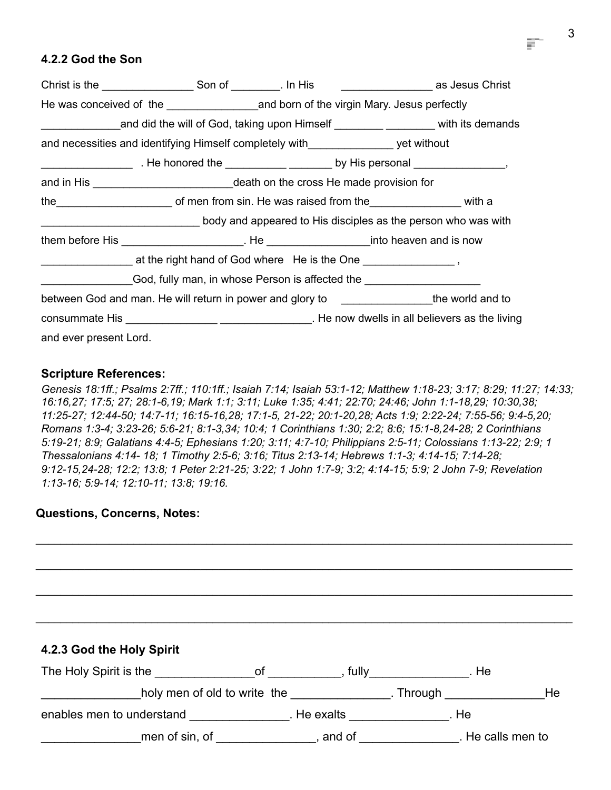# **4.2.2 God the Son**

|                        | and did the will of God, taking upon Himself <b>Commission</b> with its demands              |  |  |
|------------------------|----------------------------------------------------------------------------------------------|--|--|
|                        | and necessities and identifying Himself completely with___________________ yet without       |  |  |
|                        |                                                                                              |  |  |
|                        |                                                                                              |  |  |
|                        |                                                                                              |  |  |
|                        | body and appeared to His disciples as the person who was with                                |  |  |
|                        |                                                                                              |  |  |
|                        |                                                                                              |  |  |
|                        |                                                                                              |  |  |
|                        | between God and man. He will return in power and glory to __________________the world and to |  |  |
|                        |                                                                                              |  |  |
| and ever present Lord. |                                                                                              |  |  |

#### **Scripture References:**

*Genesis 18:1ff.; Psalms 2:7ff.; 110:1ff.; Isaiah 7:14; Isaiah 53:1-12; Matthew 1:18-23; 3:17; 8:29; 11:27; 14:33; 16:16,27; 17:5; 27; 28:1-6,19; Mark 1:1; 3:11; Luke 1:35; 4:41; 22:70; 24:46; John 1:1-18,29; 10:30,38; 11:25-27; 12:44-50; 14:7-11; 16:15-16,28; 17:1-5, 21-22; 20:1-20,28; Acts 1:9; 2:22-24; 7:55-56; 9:4-5,20; Romans 1:3-4; 3:23-26; 5:6-21; 8:1-3,34; 10:4; 1 Corinthians 1:30; 2:2; 8:6; 15:1-8,24-28; 2 Corinthians 5:19-21; 8:9; Galatians 4:4-5; Ephesians 1:20; 3:11; 4:7-10; Philippians 2:5-11; Colossians 1:13-22; 2:9; 1 Thessalonians 4:14- 18; 1 Timothy 2:5-6; 3:16; Titus 2:13-14; Hebrews 1:1-3; 4:14-15; 7:14-28; 9:12-15,24-28; 12:2; 13:8; 1 Peter 2:21-25; 3:22; 1 John 1:7-9; 3:2; 4:14-15; 5:9; 2 John 7-9; Revelation 1:13-16; 5:9-14; 12:10-11; 13:8; 19:16.*

\_\_\_\_\_\_\_\_\_\_\_\_\_\_\_\_\_\_\_\_\_\_\_\_\_\_\_\_\_\_\_\_\_\_\_\_\_\_\_\_\_\_\_\_\_\_\_\_\_\_\_\_\_\_\_\_\_\_\_\_\_\_\_\_\_\_\_\_\_\_\_\_\_\_\_\_\_\_\_\_\_\_\_\_\_\_\_\_

\_\_\_\_\_\_\_\_\_\_\_\_\_\_\_\_\_\_\_\_\_\_\_\_\_\_\_\_\_\_\_\_\_\_\_\_\_\_\_\_\_\_\_\_\_\_\_\_\_\_\_\_\_\_\_\_\_\_\_\_\_\_\_\_\_\_\_\_\_\_\_\_\_\_\_\_\_\_\_\_\_\_\_\_\_\_\_\_

#### **Questions, Concerns, Notes:**

\_\_\_\_\_\_\_\_\_\_\_\_\_\_\_\_\_\_\_\_\_\_\_\_\_\_\_\_\_\_\_\_\_\_\_\_\_\_\_\_\_\_\_\_\_\_\_\_\_\_\_\_\_\_\_\_\_\_\_\_\_\_\_\_\_\_\_\_\_\_\_\_\_\_\_\_\_\_\_\_\_\_\_\_\_\_\_\_ \_\_\_\_\_\_\_\_\_\_\_\_\_\_\_\_\_\_\_\_\_\_\_\_\_\_\_\_\_\_\_\_\_\_\_\_\_\_\_\_\_\_\_\_\_\_\_\_\_\_\_\_\_\_\_\_\_\_\_\_\_\_\_\_\_\_\_\_\_\_\_\_\_\_\_\_\_\_\_\_\_\_\_\_\_\_\_\_ **4.2.3 God the Holy Spirit** The Holy Spirit is the \_\_\_\_\_\_\_\_\_\_\_\_\_\_\_\_\_\_\_\_of \_\_\_\_\_\_\_\_\_\_\_, fully\_\_\_\_\_\_\_\_\_\_\_\_\_\_\_. He holy men of old to write the the the state of the state of the state of the state of the state of the state of the state of the state of the state of the state of the state of the state of the state of the state of the sta enables men to understand \_\_\_\_\_\_\_\_\_\_\_\_\_\_\_\_. He exalts \_\_\_\_\_\_\_\_\_\_\_\_\_\_\_. He \_\_\_\_\_\_\_\_\_\_\_\_\_\_\_men of sin, of \_\_\_\_\_\_\_\_\_\_\_\_\_\_\_, and of \_\_\_\_\_\_\_\_\_\_\_\_\_\_\_. He calls men to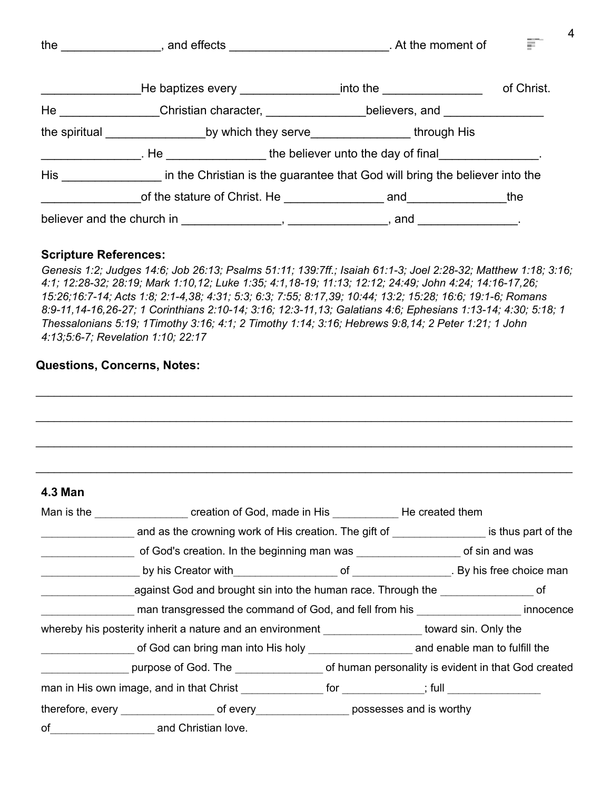|                                                                                                                                                                                                                                                                                                                                                                                                                                                                                                                                                        | the $\qquad \qquad$ and effects $\qquad \qquad$ . At the moment of                                             |                                                                 |            |
|--------------------------------------------------------------------------------------------------------------------------------------------------------------------------------------------------------------------------------------------------------------------------------------------------------------------------------------------------------------------------------------------------------------------------------------------------------------------------------------------------------------------------------------------------------|----------------------------------------------------------------------------------------------------------------|-----------------------------------------------------------------|------------|
|                                                                                                                                                                                                                                                                                                                                                                                                                                                                                                                                                        |                                                                                                                | _He baptizes every ___________________into the ________________ | of Christ. |
|                                                                                                                                                                                                                                                                                                                                                                                                                                                                                                                                                        | He _________________Christian character, ___________________believers, and ________________________            |                                                                 |            |
|                                                                                                                                                                                                                                                                                                                                                                                                                                                                                                                                                        | the spiritual _________________________by which they serve______________________through His                    |                                                                 |            |
| $\begin{array}{c} \begin{array}{c} \begin{array}{c} \begin{array}{c} \end{array} \\ \end{array} \end{array} \end{array} \end{array} \end{array} \end{array} \begin{array}{c} \begin{array}{c} \begin{array}{c} \end{array} \\ \end{array} \end{array} \end{array} \begin{array}{c} \begin{array}{c} \begin{array}{c} \end{array} \\ \end{array} \end{array} \end{array} \begin{array}{c} \begin{array}{c} \end{array} \end{array} \end{array} \begin{array}{c} \begin{array}{c} \end{array} \end{array} \end{array} \begin{array}{c} \begin{array}{c}$ | . He same the believer unto the day of final                                                                   |                                                                 |            |
|                                                                                                                                                                                                                                                                                                                                                                                                                                                                                                                                                        | His the Christian is the guarantee that God will bring the believer into the                                   |                                                                 |            |
|                                                                                                                                                                                                                                                                                                                                                                                                                                                                                                                                                        |                                                                                                                |                                                                 |            |
|                                                                                                                                                                                                                                                                                                                                                                                                                                                                                                                                                        | believer and the church in $\frac{1}{1}$ , $\frac{1}{1}$ , $\frac{1}{1}$ , $\frac{1}{1}$ , and $\frac{1}{1}$ . |                                                                 |            |

4

#### **Scripture References:**

*Genesis 1:2; Judges 14:6; Job 26:13; Psalms 51:11; 139:7ff.; Isaiah 61:1-3; Joel 2:28-32; Matthew 1:18; 3:16; 4:1; 12:28-32; 28:19; Mark 1:10,12; Luke 1:35; 4:1,18-19; 11:13; 12:12; 24:49; John 4:24; 14:16-17,26; 15:26;16:7-14; Acts 1:8; 2:1-4,38; 4:31; 5:3; 6:3; 7:55; 8:17,39; 10:44; 13:2; 15:28; 16:6; 19:1-6; Romans 8:9-11,14-16,26-27; 1 Corinthians 2:10-14; 3:16; 12:3-11,13; Galatians 4:6; Ephesians 1:13-14; 4:30; 5:18; 1 Thessalonians 5:19; 1Timothy 3:16; 4:1; 2 Timothy 1:14; 3:16; Hebrews 9:8,14; 2 Peter 1:21; 1 John 4:13;5:6-7; Revelation 1:10; 22:17*

| <b>4.3 Man</b> |                                                                                                     |  |  |
|----------------|-----------------------------------------------------------------------------------------------------|--|--|
|                | Man is the _____________________ creation of God, made in His ___________________ He created them   |  |  |
|                | and as the crowning work of His creation. The gift of _________________ is thus part of the         |  |  |
|                | of God's creation. In the beginning man was ______________________ of sin and was                   |  |  |
|                |                                                                                                     |  |  |
|                | against God and brought sin into the human race. Through the ____________________ of                |  |  |
|                | man transgressed the command of God, and fell from his ____________________ innocence               |  |  |
|                | whereby his posterity inherit a nature and an environment __________________ toward sin. Only the   |  |  |
|                |                                                                                                     |  |  |
|                |                                                                                                     |  |  |
|                | man in His own image, and in that Christ ________________ for ____________; full __________________ |  |  |
|                | therefore, every _________________________of every _____________________possesses and is worthy     |  |  |
| of             | and Christian love.                                                                                 |  |  |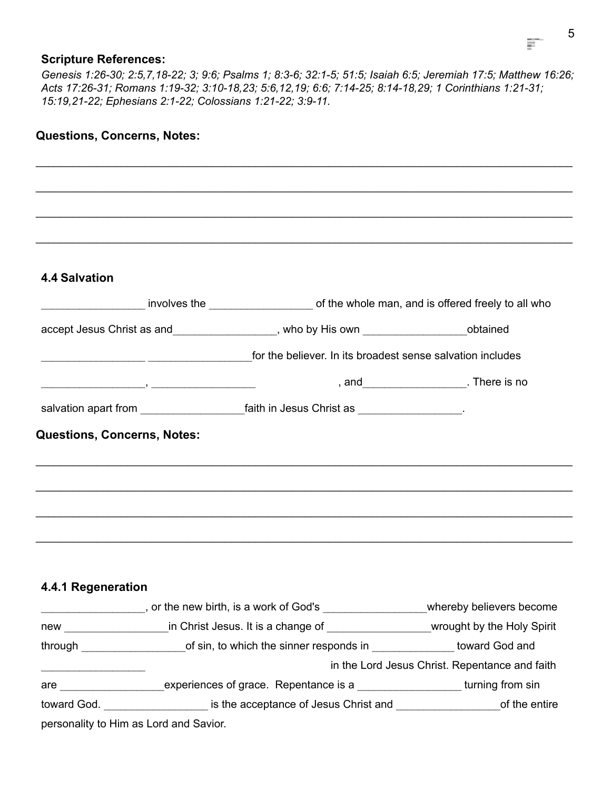#### **Scripture References:**

*Genesis 1:26-30; 2:5,7,18-22; 3; 9:6; Psalms 1; 8:3-6; 32:1-5; 51:5; Isaiah 6:5; Jeremiah 17:5; Matthew 16:26; Acts 17:26-31; Romans 1:19-32; 3:10-18,23; 5:6,12,19; 6:6; 7:14-25; 8:14-18,29; 1 Corinthians 1:21-31; 15:19,21-22; Ephesians 2:1-22; Colossians 1:21-22; 3:9-11.*

\_\_\_\_\_\_\_\_\_\_\_\_\_\_\_\_\_\_\_\_\_\_\_\_\_\_\_\_\_\_\_\_\_\_\_\_\_\_\_\_\_\_\_\_\_\_\_\_\_\_\_\_\_\_\_\_\_\_\_\_\_\_\_\_\_\_\_\_\_\_\_\_\_\_\_\_\_\_\_\_\_\_\_\_\_\_\_\_

#### **Questions, Concerns, Notes:**

# \_\_\_\_\_\_\_\_\_\_\_\_\_\_\_\_\_\_\_\_\_\_\_\_\_\_\_\_\_\_\_\_\_\_\_\_\_\_\_\_\_\_\_\_\_\_\_\_\_\_\_\_\_\_\_\_\_\_\_\_\_\_\_\_\_\_\_\_\_\_\_\_\_\_\_\_\_\_\_\_\_\_\_\_\_\_\_\_ \_\_\_\_\_\_\_\_\_\_\_\_\_\_\_\_\_\_\_\_\_\_\_\_\_\_\_\_\_\_\_\_\_\_\_\_\_\_\_\_\_\_\_\_\_\_\_\_\_\_\_\_\_\_\_\_\_\_\_\_\_\_\_\_\_\_\_\_\_\_\_\_\_\_\_\_\_\_\_\_\_\_\_\_\_\_\_\_ \_\_\_\_\_\_\_\_\_\_\_\_\_\_\_\_\_\_\_\_\_\_\_\_\_\_\_\_\_\_\_\_\_\_\_\_\_\_\_\_\_\_\_\_\_\_\_\_\_\_\_\_\_\_\_\_\_\_\_\_\_\_\_\_\_\_\_\_\_\_\_\_\_\_\_\_\_\_\_\_\_\_\_\_\_\_\_\_ **4.4 Salvation** involves the the state of the whole man, and is offered freely to all who accept Jesus Christ as and \_\_\_\_\_\_\_\_\_\_\_\_\_\_\_\_\_\_, who by His own \_\_\_\_\_\_\_\_\_\_\_\_\_\_\_\_\_\_obtained for the believer. In its broadest sense salvation includes \_\_\_\_\_\_\_\_\_\_\_\_\_\_\_\_\_\_\_, \_\_\_\_\_\_\_\_\_\_\_\_\_\_\_\_\_\_\_ , and\_\_\_\_\_\_\_\_\_\_\_\_\_\_\_\_\_\_\_. There is no salvation apart from example and the faith in Jesus Christ as  $\blacksquare$ **Questions, Concerns, Notes:** \_\_\_\_\_\_\_\_\_\_\_\_\_\_\_\_\_\_\_\_\_\_\_\_\_\_\_\_\_\_\_\_\_\_\_\_\_\_\_\_\_\_\_\_\_\_\_\_\_\_\_\_\_\_\_\_\_\_\_\_\_\_\_\_\_\_\_\_\_\_\_\_\_\_\_\_\_\_\_\_\_\_\_\_\_\_\_\_ \_\_\_\_\_\_\_\_\_\_\_\_\_\_\_\_\_\_\_\_\_\_\_\_\_\_\_\_\_\_\_\_\_\_\_\_\_\_\_\_\_\_\_\_\_\_\_\_\_\_\_\_\_\_\_\_\_\_\_\_\_\_\_\_\_\_\_\_\_\_\_\_\_\_\_\_\_\_\_\_\_\_\_\_\_\_\_\_ \_\_\_\_\_\_\_\_\_\_\_\_\_\_\_\_\_\_\_\_\_\_\_\_\_\_\_\_\_\_\_\_\_\_\_\_\_\_\_\_\_\_\_\_\_\_\_\_\_\_\_\_\_\_\_\_\_\_\_\_\_\_\_\_\_\_\_\_\_\_\_\_\_\_\_\_\_\_\_\_\_\_\_\_\_\_\_\_ \_\_\_\_\_\_\_\_\_\_\_\_\_\_\_\_\_\_\_\_\_\_\_\_\_\_\_\_\_\_\_\_\_\_\_\_\_\_\_\_\_\_\_\_\_\_\_\_\_\_\_\_\_\_\_\_\_\_\_\_\_\_\_\_\_\_\_\_\_\_\_\_\_\_\_\_\_\_\_\_\_\_\_\_\_\_\_\_ **4.4.1 Regeneration** \_\_\_\_\_\_\_\_\_\_\_\_\_\_\_\_\_\_\_, or the new birth, is a work of God's \_\_\_\_\_\_\_\_\_\_\_\_\_\_\_\_\_\_\_whereby believers become new The Christ Jesus. It is a change of The Christ Versus and Muslim Christ Jesus. It is a change of The Muslim Wrought by the Holy Spirit through \_\_\_\_\_\_\_\_\_\_\_\_\_\_\_\_\_\_\_\_\_\_\_\_of sin, to which the sinner responds in doward God and \_\_\_\_\_\_\_\_\_\_\_\_\_\_\_\_\_\_\_ in the Lord Jesus Christ. Repentance and faith are \_\_\_\_\_\_\_\_\_\_\_\_\_\_\_\_\_\_\_\_\_\_\_\_experiences of grace. Repentance is a \_\_\_\_\_\_\_\_\_\_\_\_\_\_\_\_\_\_\_\_\_\_\_\_turning from sin toward God. <br> **Example 3** is the acceptance of Jesus Christ and **Example 2** of the entire personality to Him as Lord and Savior.

F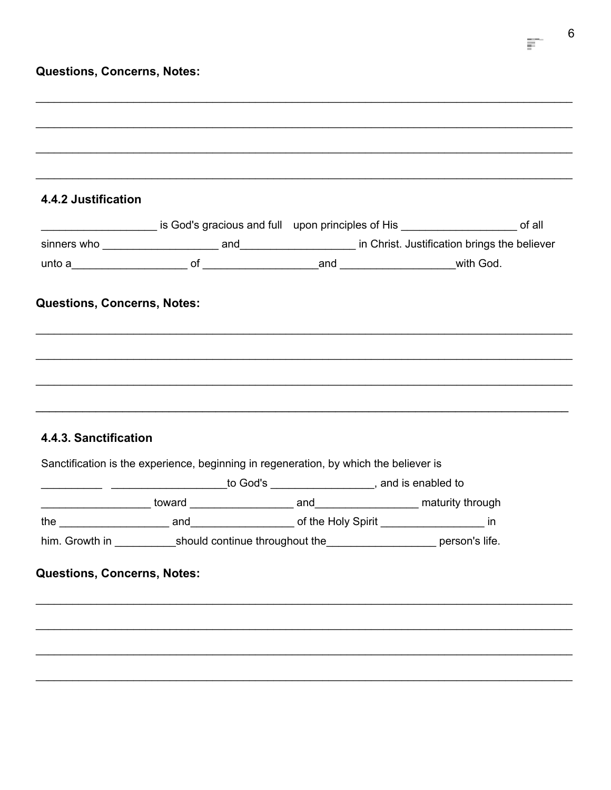|  | <b>Questions, Concerns, Notes:</b> |  |
|--|------------------------------------|--|
|--|------------------------------------|--|

| 4.4.2 Justification                |                                                                                                  |                                                                                          |
|------------------------------------|--------------------------------------------------------------------------------------------------|------------------------------------------------------------------------------------------|
|                                    |                                                                                                  | is God's gracious and full upon principles of His _______________________________ of all |
|                                    |                                                                                                  |                                                                                          |
|                                    |                                                                                                  |                                                                                          |
| <b>Questions, Concerns, Notes:</b> |                                                                                                  |                                                                                          |
|                                    |                                                                                                  |                                                                                          |
|                                    |                                                                                                  |                                                                                          |
|                                    |                                                                                                  |                                                                                          |
|                                    |                                                                                                  |                                                                                          |
|                                    |                                                                                                  |                                                                                          |
|                                    |                                                                                                  |                                                                                          |
|                                    |                                                                                                  |                                                                                          |
|                                    |                                                                                                  |                                                                                          |
|                                    | Sanctification is the experience, beginning in regeneration, by which the believer is            |                                                                                          |
|                                    | __________________________________to God's _______________________, and is enabled to            |                                                                                          |
|                                    |                                                                                                  |                                                                                          |
|                                    |                                                                                                  |                                                                                          |
|                                    | him. Growth in _____________should continue throughout the ______________________ person's life. |                                                                                          |
| 4.4.3. Sanctification              |                                                                                                  |                                                                                          |
|                                    |                                                                                                  |                                                                                          |
| <b>Questions, Concerns, Notes:</b> |                                                                                                  |                                                                                          |
|                                    |                                                                                                  |                                                                                          |
|                                    |                                                                                                  |                                                                                          |

 $\frac{1}{2}$  6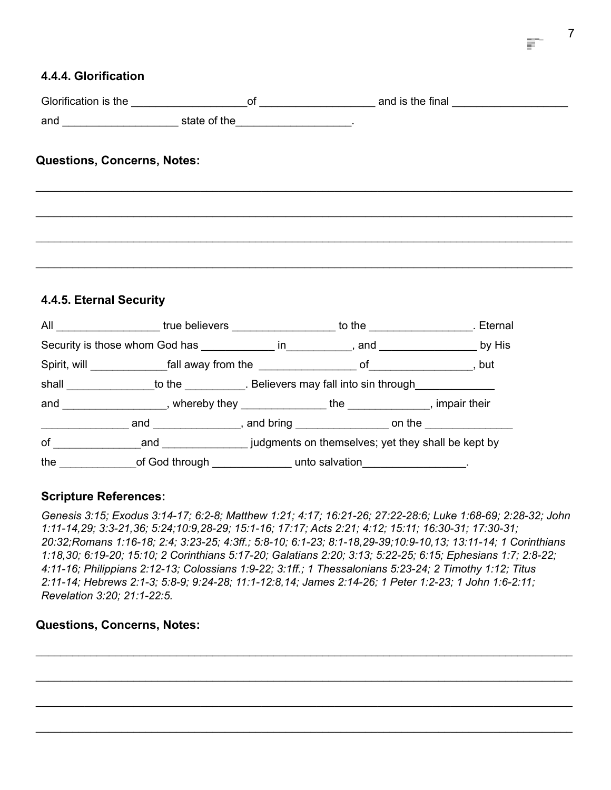## **4.4.4. Glorification**

| Glorification is the | Οt           | and is the final |
|----------------------|--------------|------------------|
| and                  | state of the |                  |

\_\_\_\_\_\_\_\_\_\_\_\_\_\_\_\_\_\_\_\_\_\_\_\_\_\_\_\_\_\_\_\_\_\_\_\_\_\_\_\_\_\_\_\_\_\_\_\_\_\_\_\_\_\_\_\_\_\_\_\_\_\_\_\_\_\_\_\_\_\_\_\_\_\_\_\_\_\_\_\_\_\_\_\_\_\_\_\_

\_\_\_\_\_\_\_\_\_\_\_\_\_\_\_\_\_\_\_\_\_\_\_\_\_\_\_\_\_\_\_\_\_\_\_\_\_\_\_\_\_\_\_\_\_\_\_\_\_\_\_\_\_\_\_\_\_\_\_\_\_\_\_\_\_\_\_\_\_\_\_\_\_\_\_\_\_\_\_\_\_\_\_\_\_\_\_\_

\_\_\_\_\_\_\_\_\_\_\_\_\_\_\_\_\_\_\_\_\_\_\_\_\_\_\_\_\_\_\_\_\_\_\_\_\_\_\_\_\_\_\_\_\_\_\_\_\_\_\_\_\_\_\_\_\_\_\_\_\_\_\_\_\_\_\_\_\_\_\_\_\_\_\_\_\_\_\_\_\_\_\_\_\_\_\_\_

\_\_\_\_\_\_\_\_\_\_\_\_\_\_\_\_\_\_\_\_\_\_\_\_\_\_\_\_\_\_\_\_\_\_\_\_\_\_\_\_\_\_\_\_\_\_\_\_\_\_\_\_\_\_\_\_\_\_\_\_\_\_\_\_\_\_\_\_\_\_\_\_\_\_\_\_\_\_\_\_\_\_\_\_\_\_\_\_

# **Questions, Concerns, Notes:**

#### **4.4.5. Eternal Security**

|       | All <b>All Example 2018 CONVERTIGATE:</b> true believers <b>CONVERTIGATE:</b> $\frac{1}{2}$                                                                                                                                    |  | to the to the set of the set of the set of the set of the set of the set of the set of the set of the set of the set of the set of the set of the set of the set of the set of the set of the set of the set of the set of the |
|-------|--------------------------------------------------------------------------------------------------------------------------------------------------------------------------------------------------------------------------------|--|--------------------------------------------------------------------------------------------------------------------------------------------------------------------------------------------------------------------------------|
|       | Security is those whom God has in the same position of the security is those whom God has seen in the security is those whom God has seen in the security is the security of the security of the security of the security of t |  |                                                                                                                                                                                                                                |
|       | Spirit, will ________________fall away from the _________________________________ of                                                                                                                                           |  | , but                                                                                                                                                                                                                          |
| shall | to the to the the selection of Believers may fall into sin through the selection of the selection of the selection of the selection of the selection of the selection of the selection of the selection of the selection of th |  |                                                                                                                                                                                                                                |
| and   | , whereby they $\begin{array}{ccc} \text{} & \text{} & \text{} \end{array}$                                                                                                                                                    |  | , impair their                                                                                                                                                                                                                 |
|       | and and and sense and bring and bring and bring and bring and bring and bring and the sense on the sense on the                                                                                                                |  |                                                                                                                                                                                                                                |
| of    |                                                                                                                                                                                                                                |  | and <b>interest and</b> judgments on themselves; yet they shall be kept by                                                                                                                                                     |
| the   | of God through ______________ unto salvation__________________.                                                                                                                                                                |  |                                                                                                                                                                                                                                |

#### **Scripture References:**

*Genesis 3:15; Exodus 3:14-17; 6:2-8; Matthew 1:21; 4:17; 16:21-26; 27:22-28:6; Luke 1:68-69; 2:28-32; John 1:11-14,29; 3:3-21,36; 5:24;10:9,28-29; 15:1-16; 17:17; Acts 2:21; 4:12; 15:11; 16:30-31; 17:30-31; 20:32;Romans 1:16-18; 2:4; 3:23-25; 4:3ff.; 5:8-10; 6:1-23; 8:1-18,29-39;10:9-10,13; 13:11-14; 1 Corinthians 1:18,30; 6:19-20; 15:10; 2 Corinthians 5:17-20; Galatians 2:20; 3:13; 5:22-25; 6:15; Ephesians 1:7; 2:8-22; 4:11-16; Philippians 2:12-13; Colossians 1:9-22; 3:1ff.; 1 Thessalonians 5:23-24; 2 Timothy 1:12; Titus 2:11-14; Hebrews 2:1-3; 5:8-9; 9:24-28; 11:1-12:8,14; James 2:14-26; 1 Peter 1:2-23; 1 John 1:6-2:11; Revelation 3:20; 21:1-22:5.*

\_\_\_\_\_\_\_\_\_\_\_\_\_\_\_\_\_\_\_\_\_\_\_\_\_\_\_\_\_\_\_\_\_\_\_\_\_\_\_\_\_\_\_\_\_\_\_\_\_\_\_\_\_\_\_\_\_\_\_\_\_\_\_\_\_\_\_\_\_\_\_\_\_\_\_\_\_\_\_\_\_\_\_\_\_\_\_\_

\_\_\_\_\_\_\_\_\_\_\_\_\_\_\_\_\_\_\_\_\_\_\_\_\_\_\_\_\_\_\_\_\_\_\_\_\_\_\_\_\_\_\_\_\_\_\_\_\_\_\_\_\_\_\_\_\_\_\_\_\_\_\_\_\_\_\_\_\_\_\_\_\_\_\_\_\_\_\_\_\_\_\_\_\_\_\_\_

\_\_\_\_\_\_\_\_\_\_\_\_\_\_\_\_\_\_\_\_\_\_\_\_\_\_\_\_\_\_\_\_\_\_\_\_\_\_\_\_\_\_\_\_\_\_\_\_\_\_\_\_\_\_\_\_\_\_\_\_\_\_\_\_\_\_\_\_\_\_\_\_\_\_\_\_\_\_\_\_\_\_\_\_\_\_\_\_

\_\_\_\_\_\_\_\_\_\_\_\_\_\_\_\_\_\_\_\_\_\_\_\_\_\_\_\_\_\_\_\_\_\_\_\_\_\_\_\_\_\_\_\_\_\_\_\_\_\_\_\_\_\_\_\_\_\_\_\_\_\_\_\_\_\_\_\_\_\_\_\_\_\_\_\_\_\_\_\_\_\_\_\_\_\_\_\_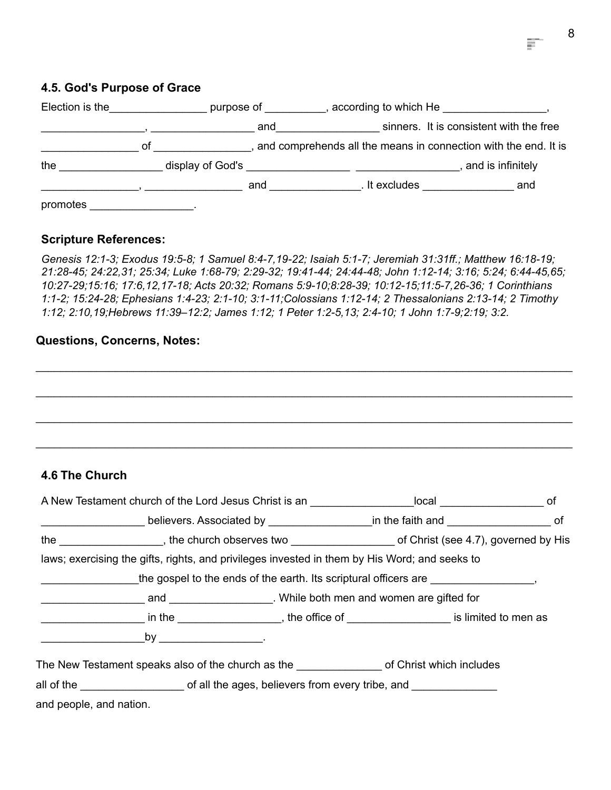## **4.5. God's Purpose of Grace**

| Election is the |    | purpose of       |     |               | , according to which He                                         |     |
|-----------------|----|------------------|-----|---------------|-----------------------------------------------------------------|-----|
|                 |    |                  | and |               | sinners. It is consistent with the free                         |     |
|                 | οt |                  |     |               | and comprehends all the means in connection with the end. It is |     |
| the             |    | display of God's |     |               | and is infinitely                                               |     |
|                 |    |                  | and | . It excludes |                                                                 | and |
| promotes        |    |                  |     |               |                                                                 |     |

#### **Scripture References:**

*Genesis 12:1-3; Exodus 19:5-8; 1 Samuel 8:4-7,19-22; Isaiah 5:1-7; Jeremiah 31:31ff.; Matthew 16:18-19; 21:28-45; 24:22,31; 25:34; Luke 1:68-79; 2:29-32; 19:41-44; 24:44-48; John 1:12-14; 3:16; 5:24; 6:44-45,65; 10:27-29;15:16; 17:6,12,17-18; Acts 20:32; Romans 5:9-10;8:28-39; 10:12-15;11:5-7,26-36; 1 Corinthians 1:1-2; 15:24-28; Ephesians 1:4-23; 2:1-10; 3:1-11;Colossians 1:12-14; 2 Thessalonians 2:13-14; 2 Timothy 1:12; 2:10,19;Hebrews 11:39–12:2; James 1:12; 1 Peter 1:2-5,13; 2:4-10; 1 John 1:7-9;2:19; 3:2.*

#### **Questions, Concerns, Notes:**

## **4.6 The Church**

| A New Testament church of the Lord Jesus Christ is an ___________________local ________________________ of          |                                                                                                                        |                                                                                    |  |
|---------------------------------------------------------------------------------------------------------------------|------------------------------------------------------------------------------------------------------------------------|------------------------------------------------------------------------------------|--|
| ______________________believers. Associated by ___________________in the faith and _______________________of        |                                                                                                                        |                                                                                    |  |
|                                                                                                                     | the _____________________, the church observes two ______________________________ of Christ (see 4.7), governed by His |                                                                                    |  |
| laws; exercising the gifts, rights, and privileges invested in them by His Word; and seeks to                       |                                                                                                                        |                                                                                    |  |
|                                                                                                                     |                                                                                                                        | the gospel to the ends of the earth. Its scriptural officers are ________________, |  |
|                                                                                                                     |                                                                                                                        |                                                                                    |  |
| _______________________ in the _______________________, the office of ________________________ is limited to men as |                                                                                                                        |                                                                                    |  |
|                                                                                                                     |                                                                                                                        |                                                                                    |  |
| The New Testament speaks also of the church as the __________________ of Christ which includes                      |                                                                                                                        |                                                                                    |  |
| all of the __________________________of all the ages, believers from every tribe, and ______________                |                                                                                                                        |                                                                                    |  |
| and people, and nation.                                                                                             |                                                                                                                        |                                                                                    |  |

F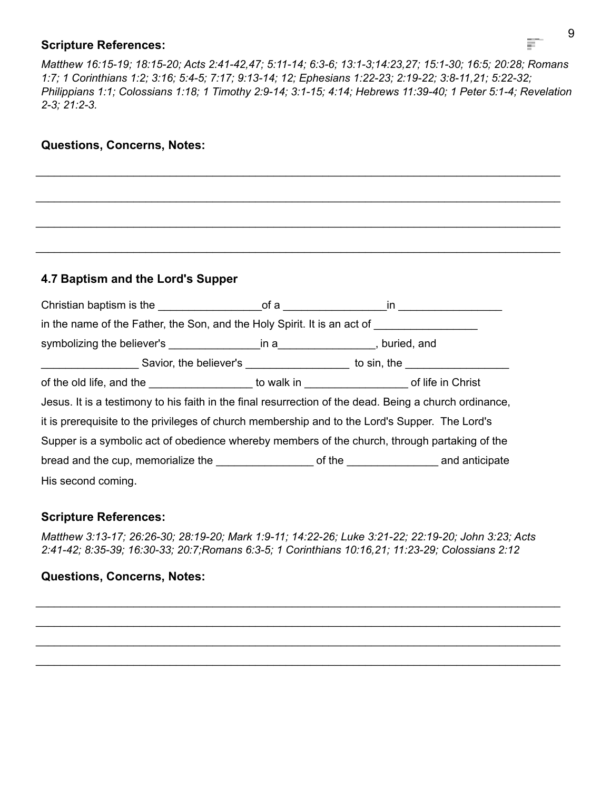#### **Scripture References:**

*Matthew 16:15-19; 18:15-20; Acts 2:41-42,47; 5:11-14; 6:3-6; 13:1-3;14:23,27; 15:1-30; 16:5; 20:28; Romans 1:7; 1 Corinthians 1:2; 3:16; 5:4-5; 7:17; 9:13-14; 12; Ephesians 1:22-23; 2:19-22; 3:8-11,21; 5:22-32; Philippians 1:1; Colossians 1:18; 1 Timothy 2:9-14; 3:1-15; 4:14; Hebrews 11:39-40; 1 Peter 5:1-4; Revelation 2-3; 21:2-3.*

\_\_\_\_\_\_\_\_\_\_\_\_\_\_\_\_\_\_\_\_\_\_\_\_\_\_\_\_\_\_\_\_\_\_\_\_\_\_\_\_\_\_\_\_\_\_\_\_\_\_\_\_\_\_\_\_\_\_\_\_\_\_\_\_\_\_\_\_\_\_\_\_\_\_\_\_\_\_\_\_\_\_\_\_\_\_

\_\_\_\_\_\_\_\_\_\_\_\_\_\_\_\_\_\_\_\_\_\_\_\_\_\_\_\_\_\_\_\_\_\_\_\_\_\_\_\_\_\_\_\_\_\_\_\_\_\_\_\_\_\_\_\_\_\_\_\_\_\_\_\_\_\_\_\_\_\_\_\_\_\_\_\_\_\_\_\_\_\_\_\_\_\_

\_\_\_\_\_\_\_\_\_\_\_\_\_\_\_\_\_\_\_\_\_\_\_\_\_\_\_\_\_\_\_\_\_\_\_\_\_\_\_\_\_\_\_\_\_\_\_\_\_\_\_\_\_\_\_\_\_\_\_\_\_\_\_\_\_\_\_\_\_\_\_\_\_\_\_\_\_\_\_\_\_\_\_\_\_\_

\_\_\_\_\_\_\_\_\_\_\_\_\_\_\_\_\_\_\_\_\_\_\_\_\_\_\_\_\_\_\_\_\_\_\_\_\_\_\_\_\_\_\_\_\_\_\_\_\_\_\_\_\_\_\_\_\_\_\_\_\_\_\_\_\_\_\_\_\_\_\_\_\_\_\_\_\_\_\_\_\_\_\_\_\_\_

# **Questions, Concerns, Notes:**

# **4.7 Baptism and the Lord's Supper**

|                                                                                                        | in the name of the Father, the Son, and the Holy Spirit. It is an act of |  |  |  |  |
|--------------------------------------------------------------------------------------------------------|--------------------------------------------------------------------------|--|--|--|--|
|                                                                                                        |                                                                          |  |  |  |  |
| _______________________Savior, the believer's ______________________ to sin, the ___________________   |                                                                          |  |  |  |  |
| of the old life, and the _____________________ to walk in _________________________of life in Christ   |                                                                          |  |  |  |  |
| Jesus. It is a testimony to his faith in the final resurrection of the dead. Being a church ordinance, |                                                                          |  |  |  |  |
| it is prerequisite to the privileges of church membership and to the Lord's Supper. The Lord's         |                                                                          |  |  |  |  |
| Supper is a symbolic act of obedience whereby members of the church, through partaking of the          |                                                                          |  |  |  |  |
|                                                                                                        |                                                                          |  |  |  |  |
| His second coming.                                                                                     |                                                                          |  |  |  |  |

## **Scripture References:**

*Matthew 3:13-17; 26:26-30; 28:19-20; Mark 1:9-11; 14:22-26; Luke 3:21-22; 22:19-20; John 3:23; Acts 2:41-42; 8:35-39; 16:30-33; 20:7;Romans 6:3-5; 1 Corinthians 10:16,21; 11:23-29; Colossians 2:12*

\_\_\_\_\_\_\_\_\_\_\_\_\_\_\_\_\_\_\_\_\_\_\_\_\_\_\_\_\_\_\_\_\_\_\_\_\_\_\_\_\_\_\_\_\_\_\_\_\_\_\_\_\_\_\_\_\_\_\_\_\_\_\_\_\_\_\_\_\_\_\_\_\_\_\_\_\_\_\_\_\_\_\_\_\_\_ \_\_\_\_\_\_\_\_\_\_\_\_\_\_\_\_\_\_\_\_\_\_\_\_\_\_\_\_\_\_\_\_\_\_\_\_\_\_\_\_\_\_\_\_\_\_\_\_\_\_\_\_\_\_\_\_\_\_\_\_\_\_\_\_\_\_\_\_\_\_\_\_\_\_\_\_\_\_\_\_\_\_\_\_\_\_ \_\_\_\_\_\_\_\_\_\_\_\_\_\_\_\_\_\_\_\_\_\_\_\_\_\_\_\_\_\_\_\_\_\_\_\_\_\_\_\_\_\_\_\_\_\_\_\_\_\_\_\_\_\_\_\_\_\_\_\_\_\_\_\_\_\_\_\_\_\_\_\_\_\_\_\_\_\_\_\_\_\_\_\_\_\_  $\_$  ,  $\_$  ,  $\_$  ,  $\_$  ,  $\_$  ,  $\_$  ,  $\_$  ,  $\_$  ,  $\_$  ,  $\_$  ,  $\_$  ,  $\_$  ,  $\_$  ,  $\_$  ,  $\_$  ,  $\_$  ,  $\_$  ,  $\_$  ,  $\_$  ,  $\_$  ,  $\_$  ,  $\_$  ,  $\_$  ,  $\_$  ,  $\_$  ,  $\_$  ,  $\_$  ,  $\_$  ,  $\_$  ,  $\_$  ,  $\_$  ,  $\_$  ,  $\_$  ,  $\_$  ,  $\_$  ,  $\_$  ,  $\_$  ,

## **Questions, Concerns, Notes:**

E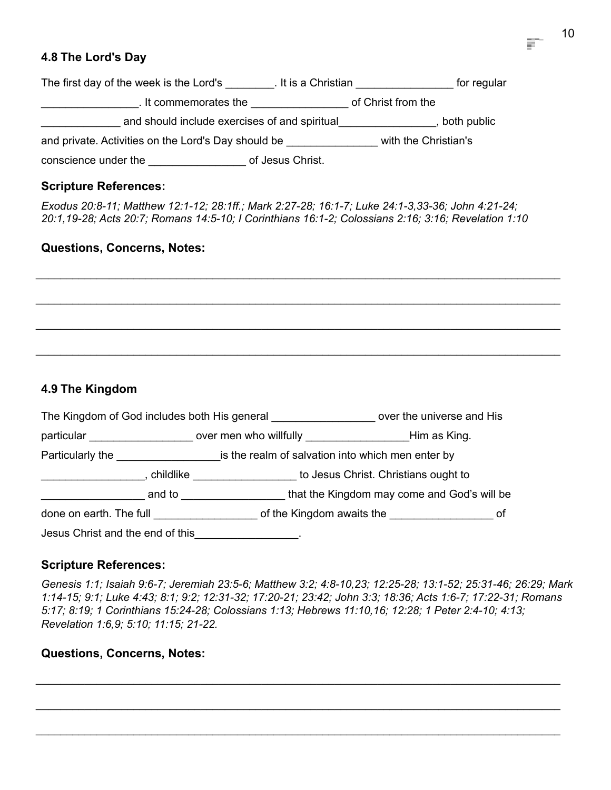# **4.8 The Lord's Day**

| The first day of the week is the Lord's             | . It is a Christian<br>for regular |  |
|-----------------------------------------------------|------------------------------------|--|
| . It commemorates the                               | of Christ from the                 |  |
| and should include exercises of and spiritual       | both public                        |  |
| and private. Activities on the Lord's Day should be | with the Christian's               |  |
| conscience under the                                | of Jesus Christ.                   |  |

# **Scripture References:**

*Exodus 20:8-11; Matthew 12:1-12; 28:1ff.; Mark 2:27-28; 16:1-7; Luke 24:1-3,33-36; John 4:21-24; 20:1,19-28; Acts 20:7; Romans 14:5-10; I Corinthians 16:1-2; Colossians 2:16; 3:16; Revelation 1:10*

\_\_\_\_\_\_\_\_\_\_\_\_\_\_\_\_\_\_\_\_\_\_\_\_\_\_\_\_\_\_\_\_\_\_\_\_\_\_\_\_\_\_\_\_\_\_\_\_\_\_\_\_\_\_\_\_\_\_\_\_\_\_\_\_\_\_\_\_\_\_\_\_\_\_\_\_\_\_\_\_\_\_\_\_\_\_

\_\_\_\_\_\_\_\_\_\_\_\_\_\_\_\_\_\_\_\_\_\_\_\_\_\_\_\_\_\_\_\_\_\_\_\_\_\_\_\_\_\_\_\_\_\_\_\_\_\_\_\_\_\_\_\_\_\_\_\_\_\_\_\_\_\_\_\_\_\_\_\_\_\_\_\_\_\_\_\_\_\_\_\_\_\_

\_\_\_\_\_\_\_\_\_\_\_\_\_\_\_\_\_\_\_\_\_\_\_\_\_\_\_\_\_\_\_\_\_\_\_\_\_\_\_\_\_\_\_\_\_\_\_\_\_\_\_\_\_\_\_\_\_\_\_\_\_\_\_\_\_\_\_\_\_\_\_\_\_\_\_\_\_\_\_\_\_\_\_\_\_\_

\_\_\_\_\_\_\_\_\_\_\_\_\_\_\_\_\_\_\_\_\_\_\_\_\_\_\_\_\_\_\_\_\_\_\_\_\_\_\_\_\_\_\_\_\_\_\_\_\_\_\_\_\_\_\_\_\_\_\_\_\_\_\_\_\_\_\_\_\_\_\_\_\_\_\_\_\_\_\_\_\_\_\_\_\_\_

# **Questions, Concerns, Notes:**

# **4.9 The Kingdom**

|                                        |        | The Kingdom of God includes both His general                                | over the universe and His                   |  |
|----------------------------------------|--------|-----------------------------------------------------------------------------|---------------------------------------------|--|
|                                        |        | particular example the same over men who willfully example the Him as King. |                                             |  |
|                                        |        | Particularly the same is the realm of salvation into which men enter by     |                                             |  |
|                                        |        | <b>childlike</b> and the childlike                                          | to Jesus Christ. Christians ought to        |  |
|                                        | and to |                                                                             | that the Kingdom may come and God's will be |  |
| done on earth. The full done on earth. |        |                                                                             |                                             |  |
| Jesus Christ and the end of this       |        |                                                                             |                                             |  |

# **Scripture References:**

*Genesis 1:1; Isaiah 9:6-7; Jeremiah 23:5-6; Matthew 3:2; 4:8-10,23; 12:25-28; 13:1-52; 25:31-46; 26:29; Mark 1:14-15; 9:1; Luke 4:43; 8:1; 9:2; 12:31-32; 17:20-21; 23:42; John 3:3; 18:36; Acts 1:6-7; 17:22-31; Romans 5:17; 8:19; 1 Corinthians 15:24-28; Colossians 1:13; Hebrews 11:10,16; 12:28; 1 Peter 2:4-10; 4:13; Revelation 1:6,9; 5:10; 11:15; 21-22.*

\_\_\_\_\_\_\_\_\_\_\_\_\_\_\_\_\_\_\_\_\_\_\_\_\_\_\_\_\_\_\_\_\_\_\_\_\_\_\_\_\_\_\_\_\_\_\_\_\_\_\_\_\_\_\_\_\_\_\_\_\_\_\_\_\_\_\_\_\_\_\_\_\_\_\_\_\_\_\_\_\_\_\_\_\_\_

\_\_\_\_\_\_\_\_\_\_\_\_\_\_\_\_\_\_\_\_\_\_\_\_\_\_\_\_\_\_\_\_\_\_\_\_\_\_\_\_\_\_\_\_\_\_\_\_\_\_\_\_\_\_\_\_\_\_\_\_\_\_\_\_\_\_\_\_\_\_\_\_\_\_\_\_\_\_\_\_\_\_\_\_\_\_

 $\_$  ,  $\_$  ,  $\_$  ,  $\_$  ,  $\_$  ,  $\_$  ,  $\_$  ,  $\_$  ,  $\_$  ,  $\_$  ,  $\_$  ,  $\_$  ,  $\_$  ,  $\_$  ,  $\_$  ,  $\_$  ,  $\_$  ,  $\_$  ,  $\_$  ,  $\_$  ,  $\_$  ,  $\_$  ,  $\_$  ,  $\_$  ,  $\_$  ,  $\_$  ,  $\_$  ,  $\_$  ,  $\_$  ,  $\_$  ,  $\_$  ,  $\_$  ,  $\_$  ,  $\_$  ,  $\_$  ,  $\_$  ,  $\_$  ,

# **Questions, Concerns, Notes:**

E.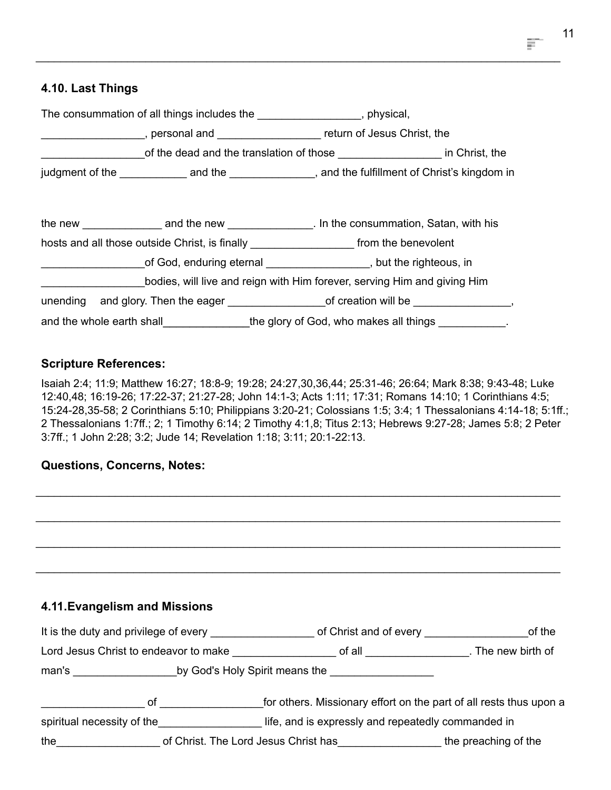## **4.10. Last Things**

|  | The consummation of all things includes the ___________________, physical,                              |
|--|---------------------------------------------------------------------------------------------------------|
|  | ____________________, personal and _______________________ return of Jesus Christ, the                  |
|  | of the dead and the translation of those ________________________ in Christ, the                        |
|  | judgment of the <u>contact and the contract and the must</u> and the fulfillment of Christ's kingdom in |
|  |                                                                                                         |
|  | hosts and all those outside Christ, is finally __________________________________ from the benevolent   |
|  | of God, enduring eternal discovery control of God, enduring eternal                                     |
|  | bodies, will live and reign with Him forever, serving Him and giving Him                                |
|  | unending and glory. Then the eager ________________________of creation will be _____________________    |
|  | and the whole earth shall the glory of God, who makes all things                                        |

\_\_\_\_\_\_\_\_\_\_\_\_\_\_\_\_\_\_\_\_\_\_\_\_\_\_\_\_\_\_\_\_\_\_\_\_\_\_\_\_\_\_\_\_\_\_\_\_\_\_\_\_\_\_\_\_\_\_\_\_\_\_\_\_\_\_\_\_\_\_\_\_\_\_\_\_\_\_\_\_\_\_\_\_\_\_

#### **Scripture References:**

Isaiah 2:4; 11:9; Matthew 16:27; 18:8-9; 19:28; 24:27,30,36,44; 25:31-46; 26:64; Mark 8:38; 9:43-48; Luke 12:40,48; 16:19-26; 17:22-37; 21:27-28; John 14:1-3; Acts 1:11; 17:31; Romans 14:10; 1 Corinthians 4:5; 15:24-28,35-58; 2 Corinthians 5:10; Philippians 3:20-21; Colossians 1:5; 3:4; 1 Thessalonians 4:14-18; 5:1ff.; 2 Thessalonians 1:7ff.; 2; 1 Timothy 6:14; 2 Timothy 4:1,8; Titus 2:13; Hebrews 9:27-28; James 5:8; 2 Peter 3:7ff.; 1 John 2:28; 3:2; Jude 14; Revelation 1:18; 3:11; 20:1-22:13.

\_\_\_\_\_\_\_\_\_\_\_\_\_\_\_\_\_\_\_\_\_\_\_\_\_\_\_\_\_\_\_\_\_\_\_\_\_\_\_\_\_\_\_\_\_\_\_\_\_\_\_\_\_\_\_\_\_\_\_\_\_\_\_\_\_\_\_\_\_\_\_\_\_\_\_\_\_\_\_\_\_\_\_\_\_\_

\_\_\_\_\_\_\_\_\_\_\_\_\_\_\_\_\_\_\_\_\_\_\_\_\_\_\_\_\_\_\_\_\_\_\_\_\_\_\_\_\_\_\_\_\_\_\_\_\_\_\_\_\_\_\_\_\_\_\_\_\_\_\_\_\_\_\_\_\_\_\_\_\_\_\_\_\_\_\_\_\_\_\_\_\_\_

\_\_\_\_\_\_\_\_\_\_\_\_\_\_\_\_\_\_\_\_\_\_\_\_\_\_\_\_\_\_\_\_\_\_\_\_\_\_\_\_\_\_\_\_\_\_\_\_\_\_\_\_\_\_\_\_\_\_\_\_\_\_\_\_\_\_\_\_\_\_\_\_\_\_\_\_\_\_\_\_\_\_\_\_\_\_

\_\_\_\_\_\_\_\_\_\_\_\_\_\_\_\_\_\_\_\_\_\_\_\_\_\_\_\_\_\_\_\_\_\_\_\_\_\_\_\_\_\_\_\_\_\_\_\_\_\_\_\_\_\_\_\_\_\_\_\_\_\_\_\_\_\_\_\_\_\_\_\_\_\_\_\_\_\_\_\_\_\_\_\_\_\_

#### **Questions, Concerns, Notes:**

## **4.11.Evangelism and Missions**

| It is the duty and privilege of every |                                      | of Christ and of every                             | of the                                                             |
|---------------------------------------|--------------------------------------|----------------------------------------------------|--------------------------------------------------------------------|
| Lord Jesus Christ to endeavor to make |                                      | of all $\qquad \qquad \qquad$                      | . The new birth of                                                 |
|                                       |                                      | by God's Holy Spirit means the                     |                                                                    |
| 0t                                    |                                      |                                                    | for others. Missionary effort on the part of all rests thus upon a |
| spiritual necessity of the            |                                      | life, and is expressly and repeatedly commanded in |                                                                    |
| the                                   | of Christ. The Lord Jesus Christ has |                                                    | the preaching of the                                               |

Ħ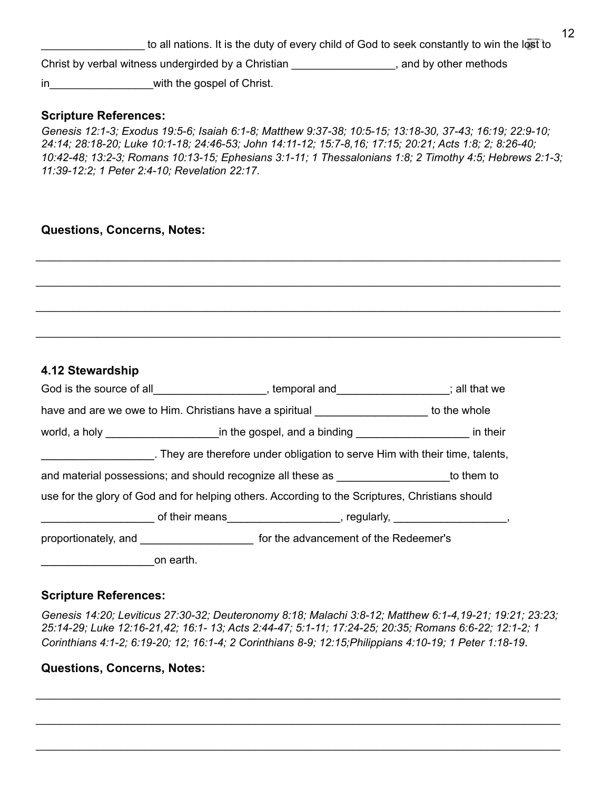to all nations. It is the duty of every child of God to seek constantly to win the lost to Christ by verbal witness undergirded by a Christian \_\_\_\_\_\_\_\_\_\_\_\_\_\_\_\_\_, and by other methods in with the gospel of Christ.

#### **Scripture References:**

*Genesis 12:1-3; Exodus 19:5-6; Isaiah 6:1-8; Matthew 9:37-38; 10:5-15; 13:18-30, 37-43; 16:19; 22:9-10; 24:14; 28:18-20; Luke 10:1-18; 24:46-53; John 14:11-12; 15:7-8,16; 17:15; 20:21; Acts 1:8; 2; 8:26-40; 10:42-48; 13:2-3; Romans 10:13-15; Ephesians 3:1-11; 1 Thessalonians 1:8; 2 Timothy 4:5; Hebrews 2:1-3; 11:39-12:2; 1 Peter 2:4-10; Revelation 22:17*.

\_\_\_\_\_\_\_\_\_\_\_\_\_\_\_\_\_\_\_\_\_\_\_\_\_\_\_\_\_\_\_\_\_\_\_\_\_\_\_\_\_\_\_\_\_\_\_\_\_\_\_\_\_\_\_\_\_\_\_\_\_\_\_\_\_\_\_\_\_\_\_\_\_\_\_\_\_\_\_\_\_\_\_\_\_\_

\_\_\_\_\_\_\_\_\_\_\_\_\_\_\_\_\_\_\_\_\_\_\_\_\_\_\_\_\_\_\_\_\_\_\_\_\_\_\_\_\_\_\_\_\_\_\_\_\_\_\_\_\_\_\_\_\_\_\_\_\_\_\_\_\_\_\_\_\_\_\_\_\_\_\_\_\_\_\_\_\_\_\_\_\_\_

\_\_\_\_\_\_\_\_\_\_\_\_\_\_\_\_\_\_\_\_\_\_\_\_\_\_\_\_\_\_\_\_\_\_\_\_\_\_\_\_\_\_\_\_\_\_\_\_\_\_\_\_\_\_\_\_\_\_\_\_\_\_\_\_\_\_\_\_\_\_\_\_\_\_\_\_\_\_\_\_\_\_\_\_\_\_

\_\_\_\_\_\_\_\_\_\_\_\_\_\_\_\_\_\_\_\_\_\_\_\_\_\_\_\_\_\_\_\_\_\_\_\_\_\_\_\_\_\_\_\_\_\_\_\_\_\_\_\_\_\_\_\_\_\_\_\_\_\_\_\_\_\_\_\_\_\_\_\_\_\_\_\_\_\_\_\_\_\_\_\_\_\_

## **Questions, Concerns, Notes:**

#### **4.12 Stewardship**

| God is the source of all______________________, temporal and__________________; all that we     |                                                                                                                                                                                                                                |  |  |
|-------------------------------------------------------------------------------------------------|--------------------------------------------------------------------------------------------------------------------------------------------------------------------------------------------------------------------------------|--|--|
| have and are we owe to Him. Christians have a spiritual _____________________ to the whole      |                                                                                                                                                                                                                                |  |  |
|                                                                                                 |                                                                                                                                                                                                                                |  |  |
|                                                                                                 | . They are therefore under obligation to serve Him with their time, talents,                                                                                                                                                   |  |  |
| and material possessions; and should recognize all these as ____________________to them to      |                                                                                                                                                                                                                                |  |  |
| use for the glory of God and for helping others. According to the Scriptures, Christians should |                                                                                                                                                                                                                                |  |  |
|                                                                                                 | discriming their means the contract of their means the contract of their means the contract of the contract of the contract of the contract of the contract of the contract of the contract of the contract of the contract of |  |  |
|                                                                                                 | proportionately, and _________________________ for the advancement of the Redeemer's                                                                                                                                           |  |  |
| on earth.                                                                                       |                                                                                                                                                                                                                                |  |  |

#### **Scripture References:**

*Genesis 14:20; Leviticus 27:30-32; Deuteronomy 8:18; Malachi 3:8-12; Matthew 6:1-4,19-21; 19:21; 23:23; 25:14-29; Luke 12:16-21,42; 16:1- 13; Acts 2:44-47; 5:1-11; 17:24-25; 20:35; Romans 6:6-22; 12:1-2; 1 Corinthians 4:1-2; 6:19-20; 12; 16:1-4; 2 Corinthians 8-9; 12:15;Philippians 4:10-19; 1 Peter 1:18-19*.

\_\_\_\_\_\_\_\_\_\_\_\_\_\_\_\_\_\_\_\_\_\_\_\_\_\_\_\_\_\_\_\_\_\_\_\_\_\_\_\_\_\_\_\_\_\_\_\_\_\_\_\_\_\_\_\_\_\_\_\_\_\_\_\_\_\_\_\_\_\_\_\_\_\_\_\_\_\_\_\_\_\_\_\_\_\_

\_\_\_\_\_\_\_\_\_\_\_\_\_\_\_\_\_\_\_\_\_\_\_\_\_\_\_\_\_\_\_\_\_\_\_\_\_\_\_\_\_\_\_\_\_\_\_\_\_\_\_\_\_\_\_\_\_\_\_\_\_\_\_\_\_\_\_\_\_\_\_\_\_\_\_\_\_\_\_\_\_\_\_\_\_\_

 $\_$  ,  $\_$  ,  $\_$  ,  $\_$  ,  $\_$  ,  $\_$  ,  $\_$  ,  $\_$  ,  $\_$  ,  $\_$  ,  $\_$  ,  $\_$  ,  $\_$  ,  $\_$  ,  $\_$  ,  $\_$  ,  $\_$  ,  $\_$  ,  $\_$  ,  $\_$  ,  $\_$  ,  $\_$  ,  $\_$  ,  $\_$  ,  $\_$  ,  $\_$  ,  $\_$  ,  $\_$  ,  $\_$  ,  $\_$  ,  $\_$  ,  $\_$  ,  $\_$  ,  $\_$  ,  $\_$  ,  $\_$  ,  $\_$  ,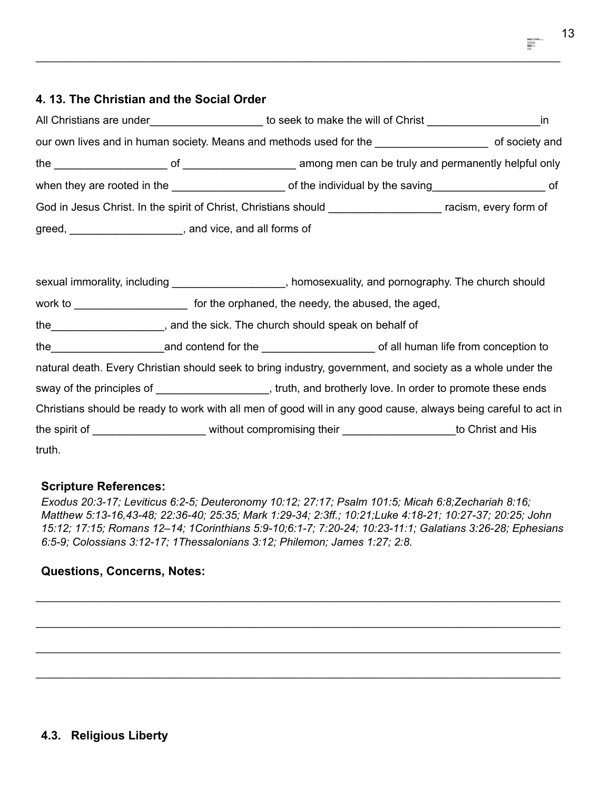# **4. 13. The Christian and the Social Order**

| All Christians are under<br><u>Letter and the set of the set of the set of the set of the set of the set of the set of the set of the set of the set of the set of the set of the set of the set of the set of the set of the set </u> | to seek to make the will of Christ the seek to make the will of Christ                                               |                |
|----------------------------------------------------------------------------------------------------------------------------------------------------------------------------------------------------------------------------------------|----------------------------------------------------------------------------------------------------------------------|----------------|
|                                                                                                                                                                                                                                        | our own lives and in human society. Means and methods used for the _____________                                     | of society and |
|                                                                                                                                                                                                                                        | the the of the of the among men can be truly and permanently helpful only                                            |                |
|                                                                                                                                                                                                                                        | when they are rooted in the saving of the individual by the saving of the individual by the saving                   |                |
|                                                                                                                                                                                                                                        | God in Jesus Christ. In the spirit of Christ, Christians should <b>Christ</b> example 20 and a racism, every form of |                |
| greed, _________________________, and vice, and all forms of                                                                                                                                                                           |                                                                                                                      |                |
|                                                                                                                                                                                                                                        |                                                                                                                      |                |
| sexual immorality, including                                                                                                                                                                                                           | , homosexuality, and pornography. The church should                                                                  |                |

\_\_\_\_\_\_\_\_\_\_\_\_\_\_\_\_\_\_\_\_\_\_\_\_\_\_\_\_\_\_\_\_\_\_\_\_\_\_\_\_\_\_\_\_\_\_\_\_\_\_\_\_\_\_\_\_\_\_\_\_\_\_\_\_\_\_\_\_\_\_\_\_\_\_\_\_\_\_\_\_\_\_\_\_\_\_

| work to ________________ | for the orphaned, the needy, the abused, the aged,                                                                                                                                                                             |  |
|--------------------------|--------------------------------------------------------------------------------------------------------------------------------------------------------------------------------------------------------------------------------|--|
| the                      | , and the sick. The church should speak on behalf of                                                                                                                                                                           |  |
| the                      |                                                                                                                                                                                                                                |  |
|                          | natural death. Every Christian should seek to bring industry, government, and society as a whole under the                                                                                                                     |  |
|                          | sway of the principles of same same section of the section of the principles of same section of the principles of same section of the section of the section of the section of the section of the section of the section of th |  |
|                          | Christians should be ready to work with all men of good will in any good cause, always being careful to act in                                                                                                                 |  |
|                          | the spirit of _________________________ without compromising their ______________________to Christ and His                                                                                                                     |  |
| truth.                   |                                                                                                                                                                                                                                |  |

## **Scripture References:**

*Exodus 20:3-17; Leviticus 6:2-5; Deuteronomy 10:12; 27:17; Psalm 101:5; Micah 6:8;Zechariah 8:16; Matthew 5:13-16,43-48; 22:36-40; 25:35; Mark 1:29-34; 2:3ff.; 10:21;Luke 4:18-21; 10:27-37; 20:25; John 15:12; 17:15; Romans 12–14; 1Corinthians 5:9-10;6:1-7; 7:20-24; 10:23-11:1; Galatians 3:26-28; Ephesians 6:5-9; Colossians 3:12-17; 1Thessalonians 3:12; Philemon; James 1:27; 2:8.*

\_\_\_\_\_\_\_\_\_\_\_\_\_\_\_\_\_\_\_\_\_\_\_\_\_\_\_\_\_\_\_\_\_\_\_\_\_\_\_\_\_\_\_\_\_\_\_\_\_\_\_\_\_\_\_\_\_\_\_\_\_\_\_\_\_\_\_\_\_\_\_\_\_\_\_\_\_\_\_\_\_\_\_\_\_\_

\_\_\_\_\_\_\_\_\_\_\_\_\_\_\_\_\_\_\_\_\_\_\_\_\_\_\_\_\_\_\_\_\_\_\_\_\_\_\_\_\_\_\_\_\_\_\_\_\_\_\_\_\_\_\_\_\_\_\_\_\_\_\_\_\_\_\_\_\_\_\_\_\_\_\_\_\_\_\_\_\_\_\_\_\_\_

\_\_\_\_\_\_\_\_\_\_\_\_\_\_\_\_\_\_\_\_\_\_\_\_\_\_\_\_\_\_\_\_\_\_\_\_\_\_\_\_\_\_\_\_\_\_\_\_\_\_\_\_\_\_\_\_\_\_\_\_\_\_\_\_\_\_\_\_\_\_\_\_\_\_\_\_\_\_\_\_\_\_\_\_\_\_

\_\_\_\_\_\_\_\_\_\_\_\_\_\_\_\_\_\_\_\_\_\_\_\_\_\_\_\_\_\_\_\_\_\_\_\_\_\_\_\_\_\_\_\_\_\_\_\_\_\_\_\_\_\_\_\_\_\_\_\_\_\_\_\_\_\_\_\_\_\_\_\_\_\_\_\_\_\_\_\_\_\_\_\_\_\_

## **Questions, Concerns, Notes:**

13

哥

# **4.3. Religious Liberty**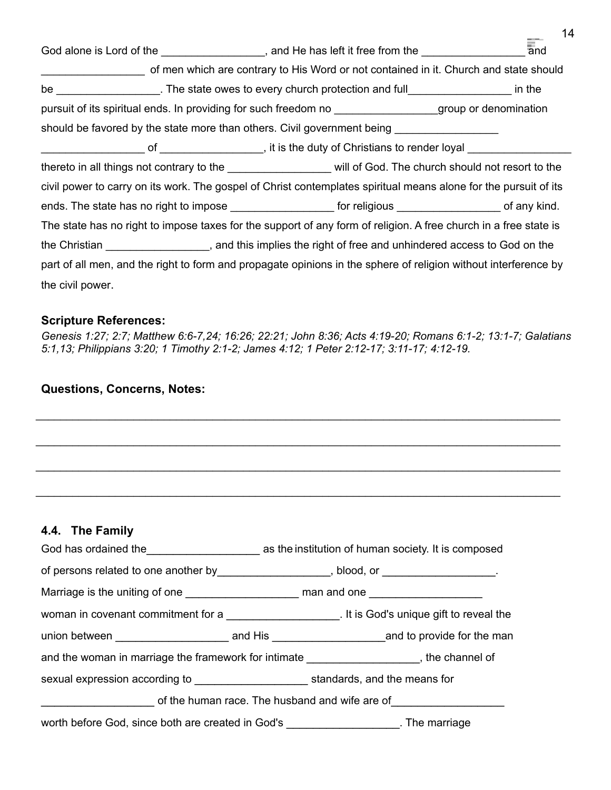|                  | God alone is Lord of the ___________________, and He has left it free from the ___________________________ and       |  |
|------------------|----------------------------------------------------------------------------------------------------------------------|--|
|                  | of men which are contrary to His Word or not contained in it. Church and state should                                |  |
|                  | be __________________. The state owes to every church protection and full_____________________ in the                |  |
|                  | pursuit of its spiritual ends. In providing for such freedom no ________________group or denomination                |  |
|                  | should be favored by the state more than others. Civil government being _______________                              |  |
|                  | of ___________________, it is the duty of Christians to render loyal _______________                                 |  |
|                  | thereto in all things not contrary to the _____________________ will of God. The church should not resort to the     |  |
|                  | civil power to carry on its work. The gospel of Christ contemplates spiritual means alone for the pursuit of its     |  |
|                  | ends. The state has no right to impose ________________________ for religious _________________________ of any kind. |  |
|                  | The state has no right to impose taxes for the support of any form of religion. A free church in a free state is     |  |
|                  | the Christian ____________________, and this implies the right of free and unhindered access to God on the           |  |
|                  | part of all men, and the right to form and propagate opinions in the sphere of religion without interference by      |  |
| the civil power. |                                                                                                                      |  |

14

#### **Scripture References:**

*Genesis 1:27; 2:7; Matthew 6:6-7,24; 16:26; 22:21; John 8:36; Acts 4:19-20; Romans 6:1-2; 13:1-7; Galatians 5:1,13; Philippians 3:20; 1 Timothy 2:1-2; James 4:12; 1 Peter 2:12-17; 3:11-17; 4:12-19.*

\_\_\_\_\_\_\_\_\_\_\_\_\_\_\_\_\_\_\_\_\_\_\_\_\_\_\_\_\_\_\_\_\_\_\_\_\_\_\_\_\_\_\_\_\_\_\_\_\_\_\_\_\_\_\_\_\_\_\_\_\_\_\_\_\_\_\_\_\_\_\_\_\_\_\_\_\_\_\_\_\_\_\_\_\_\_

\_\_\_\_\_\_\_\_\_\_\_\_\_\_\_\_\_\_\_\_\_\_\_\_\_\_\_\_\_\_\_\_\_\_\_\_\_\_\_\_\_\_\_\_\_\_\_\_\_\_\_\_\_\_\_\_\_\_\_\_\_\_\_\_\_\_\_\_\_\_\_\_\_\_\_\_\_\_\_\_\_\_\_\_\_\_

\_\_\_\_\_\_\_\_\_\_\_\_\_\_\_\_\_\_\_\_\_\_\_\_\_\_\_\_\_\_\_\_\_\_\_\_\_\_\_\_\_\_\_\_\_\_\_\_\_\_\_\_\_\_\_\_\_\_\_\_\_\_\_\_\_\_\_\_\_\_\_\_\_\_\_\_\_\_\_\_\_\_\_\_\_\_

\_\_\_\_\_\_\_\_\_\_\_\_\_\_\_\_\_\_\_\_\_\_\_\_\_\_\_\_\_\_\_\_\_\_\_\_\_\_\_\_\_\_\_\_\_\_\_\_\_\_\_\_\_\_\_\_\_\_\_\_\_\_\_\_\_\_\_\_\_\_\_\_\_\_\_\_\_\_\_\_\_\_\_\_\_\_

#### **Questions, Concerns, Notes:**

# **4.4. The Family**

|                                                | of persons related to one another by _____________________, blood, or __________________.  |  |  |
|------------------------------------------------|--------------------------------------------------------------------------------------------|--|--|
|                                                |                                                                                            |  |  |
|                                                |                                                                                            |  |  |
|                                                |                                                                                            |  |  |
|                                                | and the woman in marriage the framework for intimate _____________________, the channel of |  |  |
|                                                |                                                                                            |  |  |
| of the human race. The husband and wife are of |                                                                                            |  |  |
|                                                | worth before God, since both are created in God's _____________________. The marriage      |  |  |